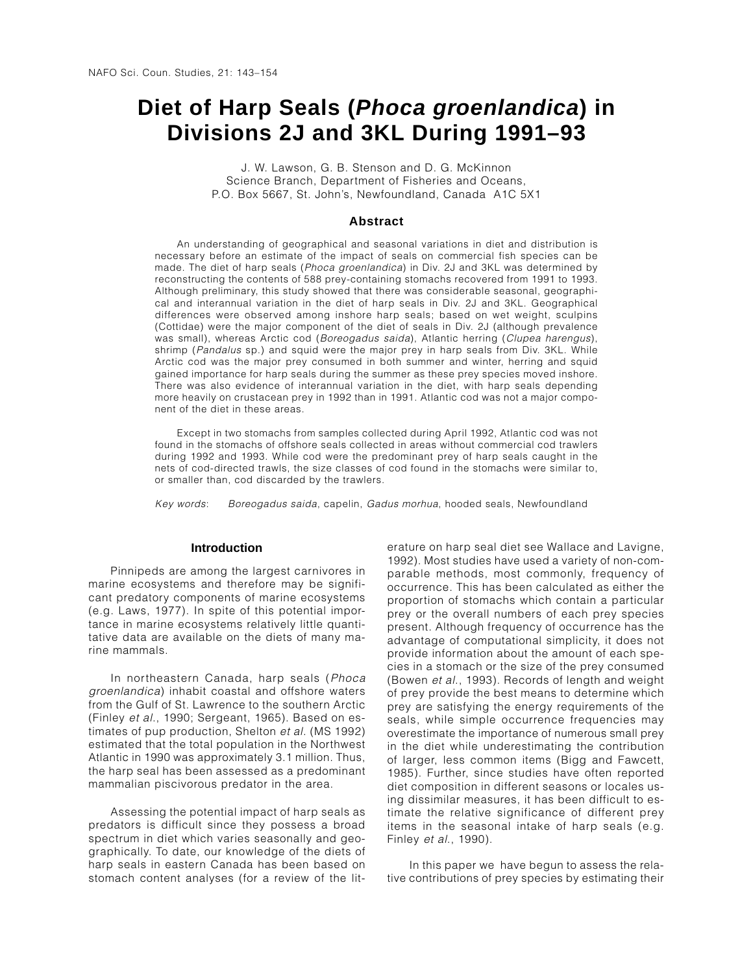# **Diet of Harp Seals (***Phoca groenlandica***) in Divisions 2J and 3KL During 1991–93**

J. W. Lawson, G. B. Stenson and D. G. McKinnon Science Branch, Department of Fisheries and Oceans, P.O. Box 5667, St. John's, Newfoundland, Canada A1C 5X1

## **Abstract**

An understanding of geographical and seasonal variations in diet and distribution is necessary before an estimate of the impact of seals on commercial fish species can be made. The diet of harp seals (Phoca groenlandica) in Div. 2J and 3KL was determined by reconstructing the contents of 588 prey-containing stomachs recovered from 1991 to 1993. Although preliminary, this study showed that there was considerable seasonal, geographical and interannual variation in the diet of harp seals in Div. 2J and 3KL. Geographical differences were observed among inshore harp seals; based on wet weight, sculpins (Cottidae) were the major component of the diet of seals in Div. 2J (although prevalence was small), whereas Arctic cod (Boreogadus saida), Atlantic herring (Clupea harengus), shrimp (Pandalus sp.) and squid were the major prey in harp seals from Div. 3KL. While Arctic cod was the major prey consumed in both summer and winter, herring and squid gained importance for harp seals during the summer as these prey species moved inshore. There was also evidence of interannual variation in the diet, with harp seals depending more heavily on crustacean prey in 1992 than in 1991. Atlantic cod was not a major component of the diet in these areas.

Except in two stomachs from samples collected during April 1992, Atlantic cod was not found in the stomachs of offshore seals collected in areas without commercial cod trawlers during 1992 and 1993. While cod were the predominant prey of harp seals caught in the nets of cod-directed trawls, the size classes of cod found in the stomachs were similar to, or smaller than, cod discarded by the trawlers.

Key words: Boreogadus saida, capelin, Gadus morhua, hooded seals, Newfoundland

## **Introduction**

Pinnipeds are among the largest carnivores in marine ecosystems and therefore may be significant predatory components of marine ecosystems (e.g. Laws, 1977). In spite of this potential importance in marine ecosystems relatively little quantitative data are available on the diets of many marine mammals.

In northeastern Canada, harp seals (Phoca groenlandica) inhabit coastal and offshore waters from the Gulf of St. Lawrence to the southern Arctic (Finley et al., 1990; Sergeant, 1965). Based on estimates of pup production, Shelton et al. (MS 1992) estimated that the total population in the Northwest Atlantic in 1990 was approximately 3.1 million. Thus, the harp seal has been assessed as a predominant mammalian piscivorous predator in the area.

Assessing the potential impact of harp seals as predators is difficult since they possess a broad spectrum in diet which varies seasonally and geographically. To date, our knowledge of the diets of harp seals in eastern Canada has been based on stomach content analyses (for a review of the literature on harp seal diet see Wallace and Lavigne, 1992). Most studies have used a variety of non-comparable methods, most commonly, frequency of occurrence. This has been calculated as either the proportion of stomachs which contain a particular prey or the overall numbers of each prey species present. Although frequency of occurrence has the advantage of computational simplicity, it does not provide information about the amount of each species in a stomach or the size of the prey consumed (Bowen et al., 1993). Records of length and weight of prey provide the best means to determine which prey are satisfying the energy requirements of the seals, while simple occurrence frequencies may overestimate the importance of numerous small prey in the diet while underestimating the contribution of larger, less common items (Bigg and Fawcett, 1985). Further, since studies have often reported diet composition in different seasons or locales using dissimilar measures, it has been difficult to estimate the relative significance of different prey items in the seasonal intake of harp seals (e.g. Finley et al., 1990).

In this paper we have begun to assess the relative contributions of prey species by estimating their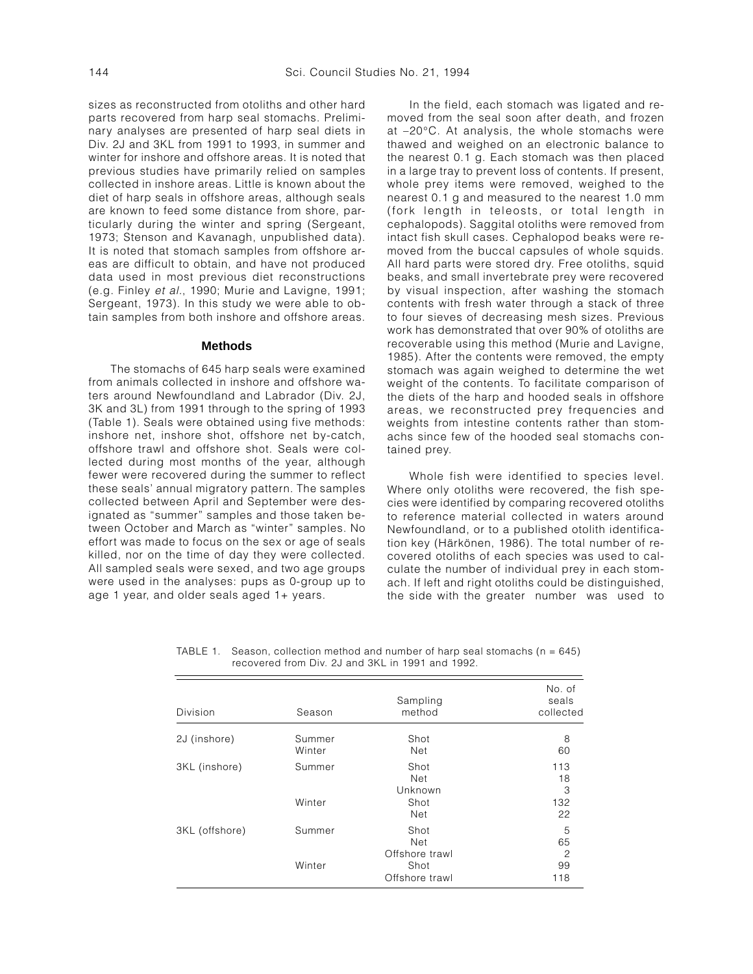sizes as reconstructed from otoliths and other hard parts recovered from harp seal stomachs. Preliminary analyses are presented of harp seal diets in Div. 2J and 3KL from 1991 to 1993, in summer and winter for inshore and offshore areas. It is noted that previous studies have primarily relied on samples collected in inshore areas. Little is known about the diet of harp seals in offshore areas, although seals are known to feed some distance from shore, particularly during the winter and spring (Sergeant, 1973; Stenson and Kavanagh, unpublished data). It is noted that stomach samples from offshore areas are difficult to obtain, and have not produced data used in most previous diet reconstructions (e.g. Finley et al., 1990; Murie and Lavigne, 1991; Sergeant, 1973). In this study we were able to obtain samples from both inshore and offshore areas.

## **Methods**

The stomachs of 645 harp seals were examined from animals collected in inshore and offshore waters around Newfoundland and Labrador (Div. 2J, 3K and 3L) from 1991 through to the spring of 1993 (Table 1). Seals were obtained using five methods: inshore net, inshore shot, offshore net by-catch, offshore trawl and offshore shot. Seals were collected during most months of the year, although fewer were recovered during the summer to reflect these seals' annual migratory pattern. The samples collected between April and September were designated as "summer" samples and those taken between October and March as "winter" samples. No effort was made to focus on the sex or age of seals killed, nor on the time of day they were collected. All sampled seals were sexed, and two age groups were used in the analyses: pups as 0-group up to age 1 year, and older seals aged 1+ years.

In the field, each stomach was ligated and removed from the seal soon after death, and frozen at –20°C. At analysis, the whole stomachs were thawed and weighed on an electronic balance to the nearest 0.1 g. Each stomach was then placed in a large tray to prevent loss of contents. If present, whole prey items were removed, weighed to the nearest 0.1 g and measured to the nearest 1.0 mm (fork length in teleosts, or total length in cephalopods). Saggital otoliths were removed from intact fish skull cases. Cephalopod beaks were removed from the buccal capsules of whole squids. All hard parts were stored dry. Free otoliths, squid beaks, and small invertebrate prey were recovered by visual inspection, after washing the stomach contents with fresh water through a stack of three to four sieves of decreasing mesh sizes. Previous work has demonstrated that over 90% of otoliths are recoverable using this method (Murie and Lavigne, 1985). After the contents were removed, the empty stomach was again weighed to determine the wet weight of the contents. To facilitate comparison of the diets of the harp and hooded seals in offshore areas, we reconstructed prey frequencies and weights from intestine contents rather than stomachs since few of the hooded seal stomachs contained prey.

Whole fish were identified to species level. Where only otoliths were recovered, the fish species were identified by comparing recovered otoliths to reference material collected in waters around Newfoundland, or to a published otolith identification key (Härkönen, 1986). The total number of recovered otoliths of each species was used to calculate the number of individual prey in each stomach. If left and right otoliths could be distinguished, the side with the greater number was used to

TABLE 1. Season, collection method and number of harp seal stomachs ( $n = 645$ ) recovered from Div. 2J and 3KL in 1991 and 1992.

| Division       | Season           | Sampling<br>method                       | No. of<br>seals<br>collected |
|----------------|------------------|------------------------------------------|------------------------------|
| 2J (inshore)   | Summer<br>Winter | Shot<br>Net                              | 8<br>60                      |
| 3KL (inshore)  | Summer           | Shot<br>Net<br>Unknown                   | 113<br>18<br>3               |
|                | Winter           | Shot<br><b>Net</b>                       | 132<br>22                    |
| 3KL (offshore) | Summer           | Shot<br><b>Net</b>                       | 5<br>65                      |
|                | Winter           | Offshore trawl<br>Shot<br>Offshore trawl | $\overline{c}$<br>99<br>118  |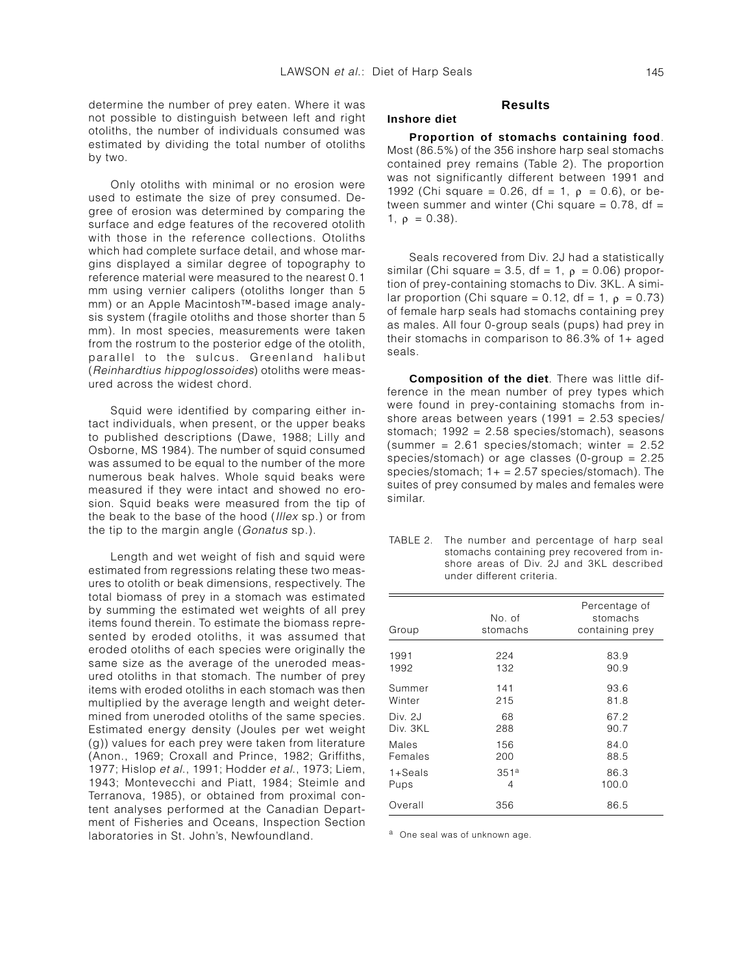determine the number of prey eaten. Where it was not possible to distinguish between left and right otoliths, the number of individuals consumed was estimated by dividing the total number of otoliths by two.

Only otoliths with minimal or no erosion were used to estimate the size of prey consumed. Degree of erosion was determined by comparing the surface and edge features of the recovered otolith with those in the reference collections. Otoliths which had complete surface detail, and whose margins displayed a similar degree of topography to reference material were measured to the nearest 0.1 mm using vernier calipers (otoliths longer than 5 mm) or an Apple Macintosh™-based image analysis system (fragile otoliths and those shorter than 5 mm). In most species, measurements were taken from the rostrum to the posterior edge of the otolith, parallel to the sulcus. Greenland halibut (Reinhardtius hippoglossoides) otoliths were measured across the widest chord.

Squid were identified by comparing either intact individuals, when present, or the upper beaks to published descriptions (Dawe, 1988; Lilly and Osborne, MS 1984). The number of squid consumed was assumed to be equal to the number of the more numerous beak halves. Whole squid beaks were measured if they were intact and showed no erosion. Squid beaks were measured from the tip of the beak to the base of the hood (Illex sp.) or from the tip to the margin angle (Gonatus sp.).

Length and wet weight of fish and squid were estimated from regressions relating these two measures to otolith or beak dimensions, respectively. The total biomass of prey in a stomach was estimated by summing the estimated wet weights of all prey items found therein. To estimate the biomass represented by eroded otoliths, it was assumed that eroded otoliths of each species were originally the same size as the average of the uneroded measured otoliths in that stomach. The number of prey items with eroded otoliths in each stomach was then multiplied by the average length and weight determined from uneroded otoliths of the same species. Estimated energy density (Joules per wet weight (g)) values for each prey were taken from literature (Anon., 1969; Croxall and Prince, 1982; Griffiths, 1977; Hislop et al., 1991; Hodder et al., 1973; Liem, 1943; Montevecchi and Piatt, 1984; Steimle and Terranova, 1985), or obtained from proximal content analyses performed at the Canadian Department of Fisheries and Oceans, Inspection Section laboratories in St. John's, Newfoundland.

## **Results**

# **Inshore diet**

**Proportion of stomachs containing food**. Most (86.5%) of the 356 inshore harp seal stomachs contained prey remains (Table 2). The proportion was not significantly different between 1991 and 1992 (Chi square = 0.26, df = 1,  $\rho$  = 0.6), or between summer and winter (Chi square  $= 0.78$ , df  $=$ 1,  $\rho = 0.38$ ).

Seals recovered from Div. 2J had a statistically similar (Chi square = 3.5, df = 1,  $\rho$  = 0.06) proportion of prey-containing stomachs to Div. 3KL. A similar proportion (Chi square = 0.12, df = 1,  $\rho$  = 0.73) of female harp seals had stomachs containing prey as males. All four 0-group seals (pups) had prey in their stomachs in comparison to 86.3% of 1+ aged seals.

**Composition of the diet**. There was little difference in the mean number of prey types which were found in prey-containing stomachs from inshore areas between years (1991 = 2.53 species/ stomach; 1992 = 2.58 species/stomach), seasons (summer =  $2.61$  species/stomach; winter =  $2.52$ species/stomach) or age classes (0-group = 2.25 species/stomach;  $1+ = 2.57$  species/stomach). The suites of prey consumed by males and females were similar.

| TABLE 2. The number and percentage of harp seal |
|-------------------------------------------------|
| stomachs containing prey recovered from in-     |
| shore areas of Div. 2J and 3KL described        |
| under different criteria.                       |

| Group       | No. of<br>stomachs | Percentage of<br>stomachs<br>containing prey |
|-------------|--------------------|----------------------------------------------|
| 1991        | 224                | 83.9                                         |
| 1992        | 132                | 90.9                                         |
| Summer      | 141                | 93.6                                         |
| Winter      | 215                | 81.8                                         |
| Div. 2J     | 68                 | 67.2                                         |
| Div. 3KL    | 288                | 90.7                                         |
| Males       | 156                | 84.0                                         |
| Females     | 200                | 88.5                                         |
| $1 +$ Seals | 351 <sup>a</sup>   | 86.3                                         |
| Pups        | 4                  | 100.0                                        |
| Overall     | 356                | 86.5                                         |

a One seal was of unknown age.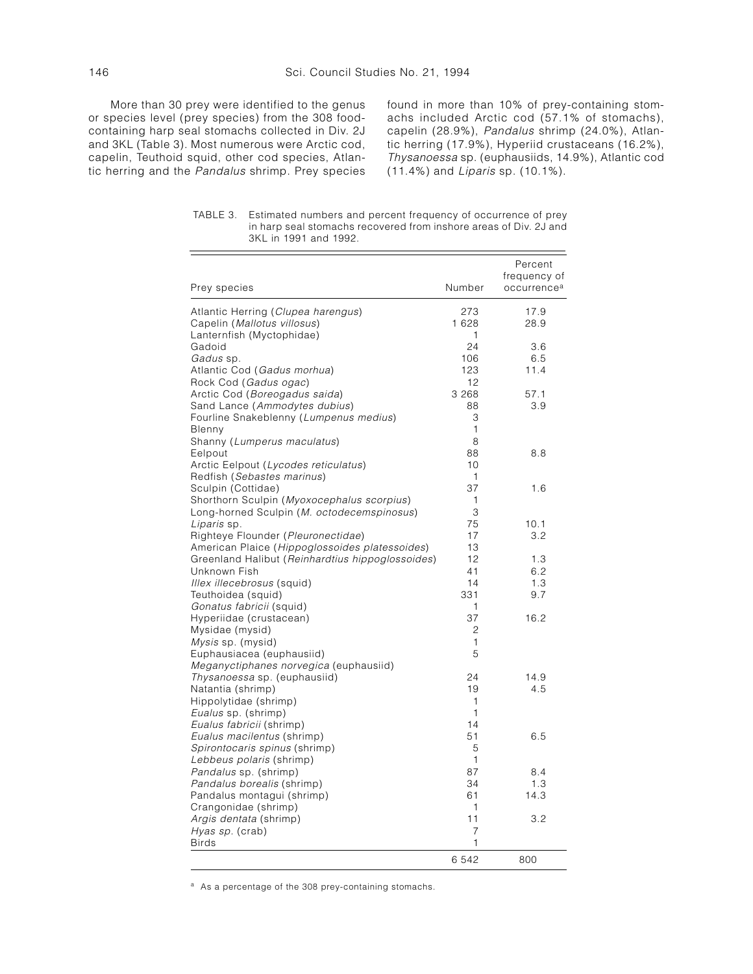More than 30 prey were identified to the genus or species level (prey species) from the 308 foodcontaining harp seal stomachs collected in Div. 2J and 3KL (Table 3). Most numerous were Arctic cod, capelin, Teuthoid squid, other cod species, Atlantic herring and the Pandalus shrimp. Prey species

found in more than 10% of prey-containing stomachs included Arctic cod (57.1% of stomachs), capelin (28.9%), Pandalus shrimp (24.0%), Atlantic herring (17.9%), Hyperiid crustaceans (16.2%), Thysanoessa sp. (euphausiids, 14.9%), Atlantic cod (11.4%) and Liparis sp. (10.1%).

TABLE 3. Estimated numbers and percent frequency of occurrence of prey in harp seal stomachs recovered from inshore areas of Div. 2J and 3KL in 1991 and 1992.

|                                                  |         | Percent                 |
|--------------------------------------------------|---------|-------------------------|
|                                                  |         | frequency of            |
| Prey species                                     | Number  | occurrence <sup>a</sup> |
| Atlantic Herring (Clupea harengus)               | 273     | 17.9                    |
| Capelin (Mallotus villosus)                      | 1628    | 28.9                    |
| Lanternfish (Myctophidae)                        | 1       |                         |
| Gadoid                                           | 24      | 3.6                     |
| Gadus sp.                                        | 106     | 6.5                     |
| Atlantic Cod (Gadus morhua)                      | 123     | 11.4                    |
| Rock Cod (Gadus ogac)                            | 12      |                         |
| Arctic Cod (Boreogadus saida)                    | 3 2 6 8 | 57.1                    |
| Sand Lance (Ammodytes dubius)                    | 88      | 3.9                     |
| Fourline Snakeblenny (Lumpenus medius)           | 3       |                         |
| Blenny                                           | 1       |                         |
| Shanny (Lumperus maculatus)                      | 8       |                         |
| Eelpout                                          | 88      | 8.8                     |
| Arctic Eelpout (Lycodes reticulatus)             | 10      |                         |
| Redfish (Sebastes marinus)                       | 1       |                         |
| Sculpin (Cottidae)                               | 37      | 1.6                     |
| Shorthorn Sculpin (Myoxocephalus scorpius)       | 1       |                         |
| Long-horned Sculpin (M. octodecemspinosus)       | 3       |                         |
| Liparis sp.                                      | 75      | 10.1                    |
| Righteye Flounder (Pleuronectidae)               | 17      | 3.2                     |
| American Plaice (Hippoglossoides platessoides)   | 13      |                         |
| Greenland Halibut (Reinhardtius hippoglossoides) | 12      | 1.3                     |
| Unknown Fish                                     | 41      | 6.2                     |
| Illex illecebrosus (squid)                       | 14      | 1.3                     |
| Teuthoidea (squid)                               | 331     | 9.7                     |
| Gonatus fabricii (squid)                         | 1       |                         |
| Hyperiidae (crustacean)                          | 37      | 16.2                    |
| Mysidae (mysid)                                  | 2       |                         |
| Mysis sp. (mysid)                                | 1       |                         |
| Euphausiacea (euphausiid)                        | 5       |                         |
| Meganyctiphanes norvegica (euphausiid)           |         |                         |
| Thysanoessa sp. (euphausiid)                     | 24      | 14.9                    |
| Natantia (shrimp)                                | 19      | 4.5                     |
| Hippolytidae (shrimp)                            | 1       |                         |
| Eualus sp. (shrimp)                              | 1       |                         |
| Eualus fabricii (shrimp)                         | 14      |                         |
| Eualus macilentus (shrimp)                       | 51      | 6.5                     |
| Spirontocaris spinus (shrimp)                    | 5       |                         |
| Lebbeus polaris (shrimp)                         | 1       |                         |
| Pandalus sp. (shrimp)                            | 87      | 8.4                     |
| Pandalus borealis (shrimp)                       | 34      | 1.3                     |
| Pandalus montagui (shrimp)                       | 61      | 14.3                    |
| Crangonidae (shrimp)                             | 1       |                         |
| Argis dentata (shrimp)                           | 11      | 3.2                     |
| Hyas sp. (crab)                                  | 7       |                         |
| <b>Birds</b>                                     | 1       |                         |
|                                                  | 6542    | 800                     |
|                                                  |         |                         |

a As a percentage of the 308 prey-containing stomachs.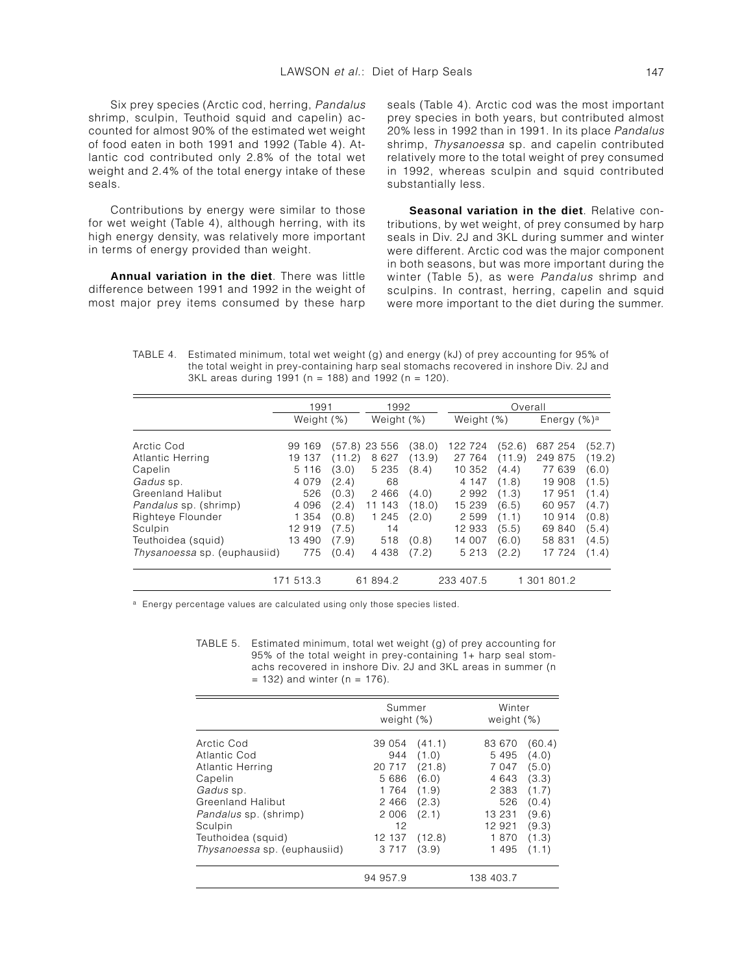Six prey species (Arctic cod, herring, Pandalus shrimp, sculpin, Teuthoid squid and capelin) accounted for almost 90% of the estimated wet weight of food eaten in both 1991 and 1992 (Table 4). Atlantic cod contributed only 2.8% of the total wet weight and 2.4% of the total energy intake of these seals.

Contributions by energy were similar to those for wet weight (Table 4), although herring, with its high energy density, was relatively more important in terms of energy provided than weight.

**Annual variation in the diet**. There was little difference between 1991 and 1992 in the weight of most major prey items consumed by these harp seals (Table 4). Arctic cod was the most important prey species in both years, but contributed almost 20% less in 1992 than in 1991. In its place Pandalus shrimp, Thysanoessa sp. and capelin contributed relatively more to the total weight of prey consumed in 1992, whereas sculpin and squid contributed substantially less.

**Seasonal variation in the diet**. Relative contributions, by wet weight, of prey consumed by harp seals in Div. 2J and 3KL during summer and winter were different. Arctic cod was the major component in both seasons, but was more important during the winter (Table 5), as were Pandalus shrimp and sculpins. In contrast, herring, capelin and squid were more important to the diet during the summer.

TABLE 4. Estimated minimum, total wet weight (g) and energy (kJ) of prey accounting for 95% of the total weight in prey-containing harp seal stomachs recovered in inshore Div. 2J and 3KL areas during 1991 (n = 188) and 1992 (n = 120).

|                                     | 1991       |        | 1992            |        |            |        |                |        |
|-------------------------------------|------------|--------|-----------------|--------|------------|--------|----------------|--------|
|                                     | Weight (%) |        | Weight (%)      |        | Weight (%) |        | Energy $(%)^a$ |        |
| Arctic Cod                          | 99 169     |        | $(57.8)$ 23 556 | (38.0) | 122 724    | (52.6) | 687 254        | (52.7) |
| Atlantic Herring                    | 19 137     | (11.2) | 8627            | (13.9) | 27 764     | (11.9) | 249 875        | (19.2) |
| Capelin                             | 5 1 1 6    | (3.0)  | 5 2 3 5         | (8.4)  | 10 352     | (4.4)  | 77 639         | (6.0)  |
| Gadus sp.                           | 4 0 7 9    | (2.4)  | 68              |        | 4 147      | (1.8)  | 19 908         | (1.5)  |
| Greenland Halibut                   | 526        | (0.3)  | 2 4 6 6         | (4.0)  | 2 9 9 2    | (1.3)  | 17 951         | (1.4)  |
| <i>Pandalus</i> sp. (shrimp)        | 4 0 9 6    | (2.4)  | 11 143          | (18.0) | 15 239     | (6.5)  | 60 957         | (4.7)  |
| Righteye Flounder                   | 1 3 5 4    | (0.8)  | 1 2 4 5         | (2.0)  | 2 5 9 9    | (1.1)  | 10 914         | (0.8)  |
| Sculpin                             | 12 919     | (7.5)  | 14              |        | 12 933     | (5.5)  | 69 840         | (5.4)  |
| Teuthoidea (squid)                  | 13 490     | (7.9)  | 518             | (0.8)  | 14 007     | (6.0)  | 58 831         | (4.5)  |
| <i>Thysanoessa</i> sp. (euphausiid) | 775        | (0.4)  | 4 4 3 8         | (7.2)  | 5 2 1 3    | (2.2)  | 17 724         | (1.4)  |
|                                     | 171 513.3  |        | 61 894.2        |        | 233 407.5  |        | 1 301 801.2    |        |

a Energy percentage values are calculated using only those species listed.

TABLE 5. Estimated minimum, total wet weight (g) of prey accounting for 95% of the total weight in prey-containing 1+ harp seal stomachs recovered in inshore Div. 2J and 3KL areas in summer (n  $= 132$ ) and winter (n  $= 176$ ).

|                              | Summer<br>weight $(%)$ |        | Winter<br>weight (%) |        |
|------------------------------|------------------------|--------|----------------------|--------|
| Arctic Cod                   | 39 054                 | (41.1) | 83 670               | (60.4) |
| Atlantic Cod                 | 944                    | (1.0)  | 5 4 9 5              | (4.0)  |
| Atlantic Herring             | 20 717                 | (21.8) | 7 0 4 7              | (5.0)  |
| Capelin                      | 5 686                  | (6.0)  | 4 643                | (3.3)  |
| Gadus sp.                    | 1 7 6 4                | (1.9)  | 2 3 8 3              | (1.7)  |
| <b>Greenland Halibut</b>     | 2 4 6 6                | (2.3)  | 526                  | (0.4)  |
| Pandalus sp. (shrimp)        | 2 0 0 6                | (2.1)  | 13 231               | (9.6)  |
| Sculpin                      | 12                     |        | 12 921               | (9.3)  |
| Teuthoidea (squid)           | 12 137                 | (12.8) | 1870                 | (1.3)  |
| Thysanoessa sp. (euphausiid) | 3 7 1 7                | (3.9)  | 1 4 9 5              | (1.1)  |
|                              | 94 957.9               |        | 138 403.7            |        |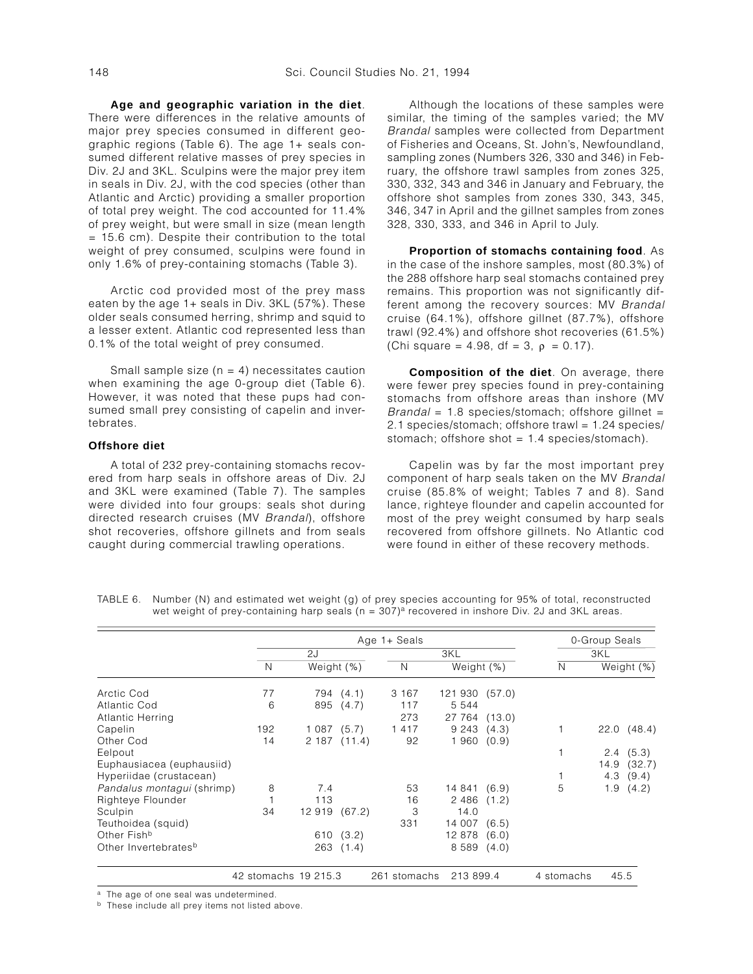**Age and geographic variation in the diet**. There were differences in the relative amounts of major prey species consumed in different geographic regions (Table 6). The age 1+ seals consumed different relative masses of prey species in Div. 2J and 3KL. Sculpins were the major prey item in seals in Div. 2J, with the cod species (other than Atlantic and Arctic) providing a smaller proportion of total prey weight. The cod accounted for 11.4% of prey weight, but were small in size (mean length = 15.6 cm). Despite their contribution to the total weight of prey consumed, sculpins were found in only 1.6% of prey-containing stomachs (Table 3).

Arctic cod provided most of the prey mass eaten by the age 1+ seals in Div. 3KL (57%). These older seals consumed herring, shrimp and squid to a lesser extent. Atlantic cod represented less than 0.1% of the total weight of prey consumed.

Small sample size  $(n = 4)$  necessitates caution when examining the age 0-group diet (Table 6). However, it was noted that these pups had consumed small prey consisting of capelin and invertebrates.

## **Offshore diet**

A total of 232 prey-containing stomachs recovered from harp seals in offshore areas of Div. 2J and 3KL were examined (Table 7). The samples were divided into four groups: seals shot during directed research cruises (MV Brandal), offshore shot recoveries, offshore gillnets and from seals caught during commercial trawling operations.

Although the locations of these samples were similar, the timing of the samples varied; the MV Brandal samples were collected from Department of Fisheries and Oceans, St. John's, Newfoundland, sampling zones (Numbers 326, 330 and 346) in February, the offshore trawl samples from zones 325, 330, 332, 343 and 346 in January and February, the offshore shot samples from zones 330, 343, 345, 346, 347 in April and the gillnet samples from zones 328, 330, 333, and 346 in April to July.

**Proportion of stomachs containing food**. As in the case of the inshore samples, most (80.3%) of the 288 offshore harp seal stomachs contained prey remains. This proportion was not significantly different among the recovery sources: MV Brandal cruise (64.1%), offshore gillnet (87.7%), offshore trawl (92.4%) and offshore shot recoveries (61.5%) (Chi square = 4.98, df = 3,  $\rho$  = 0.17).

**Composition of the diet**. On average, there were fewer prey species found in prey-containing stomachs from offshore areas than inshore (MV  $Brandal = 1.8$  species/stomach; offshore gillnet = 2.1 species/stomach; offshore trawl = 1.24 species/ stomach; offshore shot  $= 1.4$  species/stomach).

Capelin was by far the most important prey component of harp seals taken on the MV Brandal cruise (85.8% of weight; Tables 7 and 8). Sand lance, righteye flounder and capelin accounted for most of the prey weight consumed by harp seals recovered from offshore gillnets. No Atlantic cod were found in either of these recovery methods.

|                                  |                      |            |           | 0-Group Seals |                |        |            |      |            |
|----------------------------------|----------------------|------------|-----------|---------------|----------------|--------|------------|------|------------|
|                                  |                      | 2J         |           |               | 3KL            |        |            | 3KL  |            |
|                                  | N                    | Weight (%) |           | N             | Weight (%)     |        | N          |      | Weight (%) |
| Arctic Cod                       | 77                   |            | 794 (4.1) | 3 167         | 121 930 (57.0) |        |            |      |            |
| Atlantic Cod                     | 6                    | 895        | (4.7)     | 117           | 5 5 4 4        |        |            |      |            |
| Atlantic Herring                 |                      |            |           | 273           | 27 764         | (13.0) |            |      |            |
| Capelin                          | 192                  | 1087(5.7)  |           | 1417          | 9 2 4 3        | (4.3)  |            |      | 22.0(48.4) |
| Other Cod                        | 14                   | 2 187      | (11.4)    | 92            | 1960           | (0.9)  |            |      |            |
| Eelpout                          |                      |            |           |               |                |        |            | 2.4  | (5.3)      |
| Euphausiacea (euphausiid)        |                      |            |           |               |                |        |            | 14.9 | (32.7)     |
| Hyperiidae (crustacean)          |                      |            |           |               |                |        |            | 4.3  | (9.4)      |
| Pandalus montagui (shrimp)       | 8                    | 7.4        |           | 53            | 14 841         | (6.9)  | 5          | 1.9  | (4.2)      |
| Righteye Flounder                |                      | 113        |           | 16            | 2 4 8 6        | (1.2)  |            |      |            |
| Sculpin                          | 34                   | 12 919     | (67.2)    | 3             | 14.0           |        |            |      |            |
| Teuthoidea (squid)               |                      |            |           | 331           | 14 007         | (6.5)  |            |      |            |
| Other Fish <sup>b</sup>          |                      | 610        | (3.2)     |               | 12878          | (6.0)  |            |      |            |
| Other Invertebrates <sup>b</sup> |                      | 263        | (1.4)     |               | 8 5 8 9        | (4.0)  |            |      |            |
|                                  | 42 stomachs 19 215.3 |            |           | 261 stomachs  | 213 899.4      |        | 4 stomachs | 45.5 |            |

TABLE 6. Number (N) and estimated wet weight (g) of prey species accounting for 95% of total, reconstructed wet weight of prey-containing harp seals ( $n = 307$ )<sup>a</sup> recovered in inshore Div. 2J and 3KL areas.

a The age of one seal was undetermined.

**b** These include all prey items not listed above.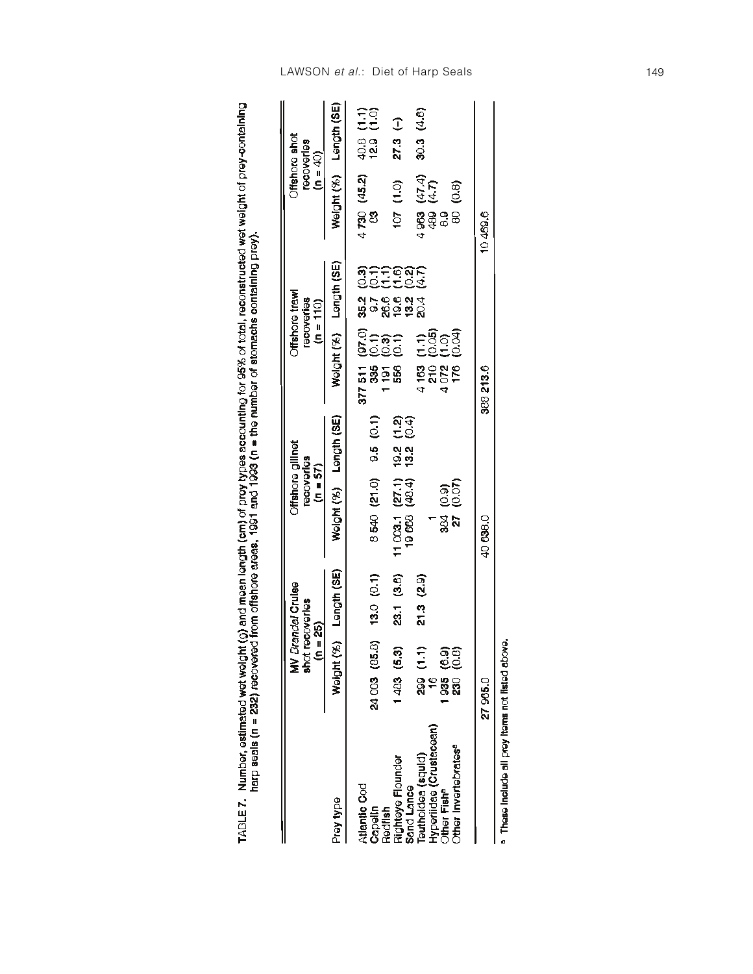| $$ and $n \times n$ of province and $n \times n$<br> <br> <br> <br> <br> <br> <br> <br>the result of mean languar (cm) of provisions accounting for GES. of total reconstructs<br>ונטובר אי אינו אינווניינטי פסקעי<br>(እነጔ in /iin\ in@ina- inaii nin /@\iii | ve areas, 1991 and 1993 (n = the number of stomachs containing prey,<br>ning 1991 -<br>ed from offshore areas, |
|--------------------------------------------------------------------------------------------------------------------------------------------------------------------------------------------------------------------------------------------------------------|----------------------------------------------------------------------------------------------------------------|
| i                                                                                                                                                                                                                                                            |                                                                                                                |

|                                        | $(n = 25)$              | <b>MV</b> Brandal Cruise<br>shot recoveries | Offshore gillnet<br>recoveries<br>$(n = 57)$                |                                  |                                                                                                                       | Offshore trawl<br>recoveries<br>$(n = 110)$               | $(n = 40)$                        | Offshore shot<br>recoveries    |
|----------------------------------------|-------------------------|---------------------------------------------|-------------------------------------------------------------|----------------------------------|-----------------------------------------------------------------------------------------------------------------------|-----------------------------------------------------------|-----------------------------------|--------------------------------|
| Prey type                              |                         | Weight (%) Length (SE)                      | Weight (%) Length (SE)                                      |                                  |                                                                                                                       | Weight (%) Length (SE)                                    |                                   | Weight (%) Length (SE)         |
| Atlantic Cod                           |                         |                                             |                                                             |                                  |                                                                                                                       |                                                           | $4\,730\,(45.2)$ 4                |                                |
| Capelin                                | 24 003 (85.8)           | 13.0 (0.1)                                  | 8 540 (21.0)                                                | 9.5(0.1)                         | $\begin{array}{c} 377\ 511\ \ (97.0)\\ 335\ \ (0.1)\\ 1\ 91\ \ (0.3)\\ 556\ \ (0.1)\\ \end{array}$<br>⊖<br>၁၀၁<br>၁၁၁ |                                                           |                                   | $40.8$ $(1.1)$<br>12.9 $(1.0)$ |
| Righteye Flounder<br>Redfish           | 1483(5.3)               | 23.1 (3.6)                                  | $\begin{array}{c} 11003.1(27.1) \\ 19668(48.4) \end{array}$ | $19.2$ $(1.2)$<br>$13.2$ $(0.4)$ |                                                                                                                       | affigar<br>Settes<br>8<br>8<br>9 8 9 9 9 9<br>9 8 9 9 9 9 | $(0.1)$ $(0.01)$                  | $27.3$ (-)                     |
| Teuthoidea (squid)<br>Sand Lance       | (1.1)<br>$ \frac{8}{2}$ | 21.3 (2.9)                                  |                                                             |                                  |                                                                                                                       |                                                           |                                   | 30.3(4.6)                      |
| Hyperiidae (Crustacean)                | 16                      |                                             |                                                             |                                  | ÷§့်<br>၁၆၁၅<br>၁၆၁၆<br>$4163$<br>$210$<br>$4072$<br>$176$                                                            |                                                           | $4963$ (47.4)<br>489 (4.7)<br>8.9 |                                |
| Other Fish <sup>a</sup>                |                         |                                             |                                                             |                                  |                                                                                                                       |                                                           |                                   |                                |
| <b>Other Invertebrates<sup>®</sup></b> | 935 (6.9)<br>230 (0.8)  |                                             | 384 (0.9)<br>27 (0.07)                                      |                                  |                                                                                                                       |                                                           | 80 (0.8)                          |                                |
|                                        | 27965.0                 |                                             | 40 638.0                                                    |                                  | 388 213.6                                                                                                             |                                                           | 10469.6                           |                                |

<sup>a</sup> These include all prey items not listed above.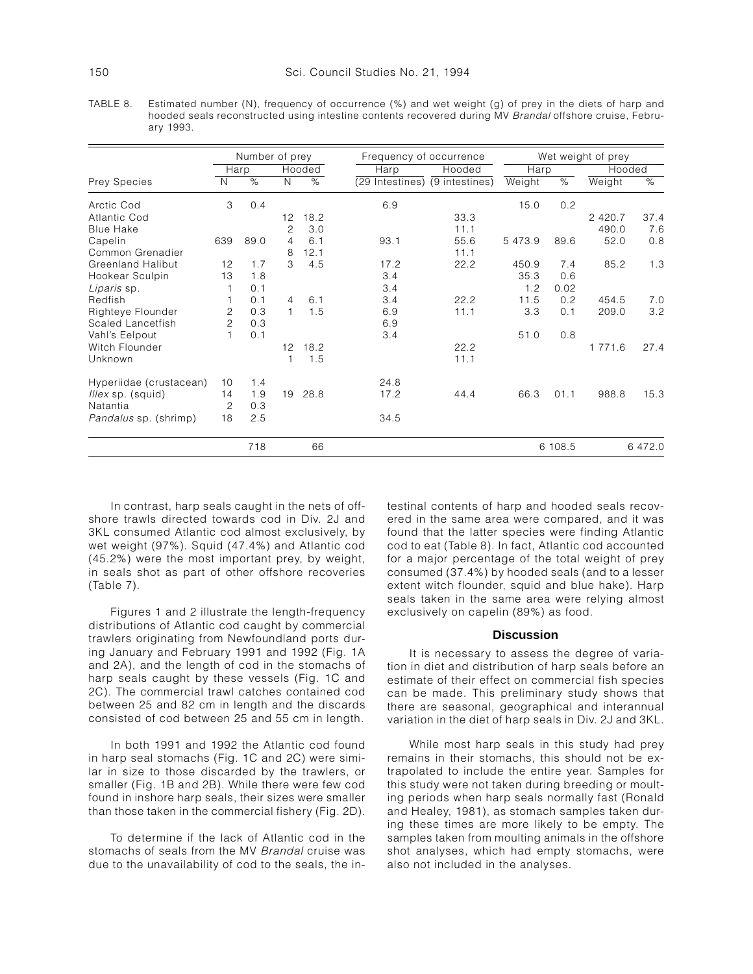TABLE 8. Estimated number (N), frequency of occurrence (%) and wet weight (g) of prey in the diets of harp and hooded seals reconstructed using intestine contents recovered during MV Brandal offshore cruise, February 1993.

|                              |                | Number of prey |                |        |                                | Frequency of occurrence |         |         | Wet weight of prey |         |  |  |
|------------------------------|----------------|----------------|----------------|--------|--------------------------------|-------------------------|---------|---------|--------------------|---------|--|--|
|                              |                | Harp           |                | Hooded | Harp                           | Hooded                  | Harp    |         | Hooded             |         |  |  |
| Prey Species                 | N              | $\%$           | $\mathsf{N}$   | $\%$   | (29 Intestines) (9 intestines) |                         | Weight  | $\%$    | Weight             | $\%$    |  |  |
| Arctic Cod                   | 3              | 0.4            |                |        | 6.9                            |                         | 15.0    | 0.2     |                    |         |  |  |
| Atlantic Cod                 |                |                | 12             | 18.2   |                                | 33.3                    |         |         | 2 4 2 0.7          | 37.4    |  |  |
| <b>Blue Hake</b>             |                |                | $\overline{c}$ | 3.0    |                                | 11.1                    |         |         | 490.0              | 7.6     |  |  |
| Capelin                      | 639            | 89.0           | $\overline{4}$ | 6.1    | 93.1                           | 55.6                    | 5 473.9 | 89.6    | 52.0               | 0.8     |  |  |
| Common Grenadier             |                |                | 8              | 12.1   |                                | 11.1                    |         |         |                    |         |  |  |
| <b>Greenland Halibut</b>     | 12             | 1.7            | 3              | 4.5    | 17.2                           | 22.2                    | 450.9   | 7.4     | 85.2               | 1.3     |  |  |
| Hookear Sculpin              | 13             | 1.8            |                |        | 3.4                            |                         | 35.3    | 0.6     |                    |         |  |  |
| Liparis sp.                  |                | 0.1            |                |        | 3.4                            |                         | 1.2     | 0.02    |                    |         |  |  |
| Redfish                      |                | 0.1            | $\overline{4}$ | 6.1    | 3.4                            | 22.2                    | 11.5    | 0.2     | 454.5              | 7.0     |  |  |
| Righteye Flounder            | 2              | 0.3            | $\mathbf{1}$   | 1.5    | 6.9                            | 11.1                    | 3.3     | 0.1     | 209.0              | 3.2     |  |  |
| Scaled Lancetfish            | $\overline{c}$ | 0.3            |                |        | 6.9                            |                         |         |         |                    |         |  |  |
| Vahl's Eelpout               |                | 0.1            |                |        | 3.4                            |                         | 51.0    | 0.8     |                    |         |  |  |
| Witch Flounder               |                |                | 12             | 18.2   |                                | 22.2                    |         |         | 1 771.6            | 27.4    |  |  |
| Unknown                      |                |                | 1              | 1.5    |                                | 11.1                    |         |         |                    |         |  |  |
| Hyperiidae (crustacean)      | 10             | 1.4            |                |        | 24.8                           |                         |         |         |                    |         |  |  |
| <i>Illex</i> sp. (squid)     | 14             | 1.9            | 19             | 28.8   | 17.2                           | 44.4                    | 66.3    | 01.1    | 988.8              | 15.3    |  |  |
| Natantia                     | $\overline{c}$ | 0.3            |                |        |                                |                         |         |         |                    |         |  |  |
| <i>Pandalus</i> sp. (shrimp) | 18             | 2.5            |                |        | 34.5                           |                         |         |         |                    |         |  |  |
|                              |                | 718            |                | 66     |                                |                         |         | 6 108.5 |                    | 6 472.0 |  |  |

In contrast, harp seals caught in the nets of offshore trawls directed towards cod in Div. 2J and 3KL consumed Atlantic cod almost exclusively, by wet weight (97%). Squid (47.4%) and Atlantic cod (45.2%) were the most important prey, by weight, in seals shot as part of other offshore recoveries (Table 7).

Figures 1 and 2 illustrate the length-frequency distributions of Atlantic cod caught by commercial trawlers originating from Newfoundland ports during January and February 1991 and 1992 (Fig. 1A and 2A), and the length of cod in the stomachs of harp seals caught by these vessels (Fig. 1C and 2C). The commercial trawl catches contained cod between 25 and 82 cm in length and the discards consisted of cod between 25 and 55 cm in length.

In both 1991 and 1992 the Atlantic cod found in harp seal stomachs (Fig. 1C and 2C) were similar in size to those discarded by the trawlers, or smaller (Fig. 1B and 2B). While there were few cod found in inshore harp seals, their sizes were smaller than those taken in the commercial fishery (Fig. 2D).

To determine if the lack of Atlantic cod in the stomachs of seals from the MV Brandal cruise was due to the unavailability of cod to the seals, the intestinal contents of harp and hooded seals recovered in the same area were compared, and it was found that the latter species were finding Atlantic cod to eat (Table 8). In fact, Atlantic cod accounted for a major percentage of the total weight of prey consumed (37.4%) by hooded seals (and to a lesser extent witch flounder, squid and blue hake). Harp seals taken in the same area were relying almost exclusively on capelin (89%) as food.

## **Discussion**

It is necessary to assess the degree of variation in diet and distribution of harp seals before an estimate of their effect on commercial fish species can be made. This preliminary study shows that there are seasonal, geographical and interannual variation in the diet of harp seals in Div. 2J and 3KL.

While most harp seals in this study had prey remains in their stomachs, this should not be extrapolated to include the entire year. Samples for this study were not taken during breeding or moulting periods when harp seals normally fast (Ronald and Healey, 1981), as stomach samples taken during these times are more likely to be empty. The samples taken from moulting animals in the offshore shot analyses, which had empty stomachs, were also not included in the analyses.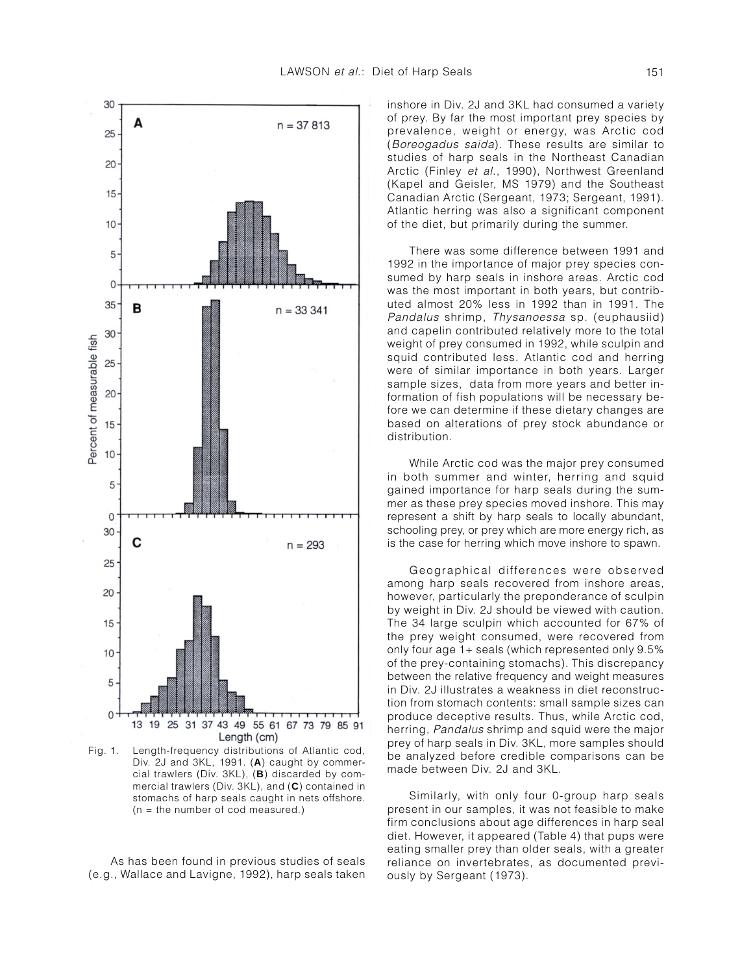

Fig. 1. Length-frequency distributions of Atlantic cod, Div. 2J and 3KL, 1991. (**A**) caught by commercial trawlers (Div. 3KL), (**B**) discarded by commercial trawlers (Div. 3KL), and (**C**) contained in stomachs of harp seals caught in nets offshore. (n = the number of cod measured.)

As has been found in previous studies of seals (e.g., Wallace and Lavigne, 1992), harp seals taken inshore in Div. 2J and 3KL had consumed a variety of prey. By far the most important prey species by prevalence, weight or energy, was Arctic cod (Boreogadus saida). These results are similar to studies of harp seals in the Northeast Canadian Arctic (Finley et al., 1990), Northwest Greenland (Kapel and Geisler, MS 1979) and the Southeast Canadian Arctic (Sergeant, 1973; Sergeant, 1991). Atlantic herring was also a significant component of the diet, but primarily during the summer.

There was some difference between 1991 and 1992 in the importance of major prey species consumed by harp seals in inshore areas. Arctic cod was the most important in both years, but contributed almost 20% less in 1992 than in 1991. The Pandalus shrimp, Thysanoessa sp. (euphausiid) and capelin contributed relatively more to the total weight of prey consumed in 1992, while sculpin and squid contributed less. Atlantic cod and herring were of similar importance in both years. Larger sample sizes, data from more years and better information of fish populations will be necessary before we can determine if these dietary changes are based on alterations of prey stock abundance or distribution.

While Arctic cod was the major prey consumed in both summer and winter, herring and squid gained importance for harp seals during the summer as these prey species moved inshore. This may represent a shift by harp seals to locally abundant, schooling prey, or prey which are more energy rich, as is the case for herring which move inshore to spawn.

Geographical differences were observed among harp seals recovered from inshore areas, however, particularly the preponderance of sculpin by weight in Div. 2J should be viewed with caution. The 34 large sculpin which accounted for 67% of the prey weight consumed, were recovered from only four age 1+ seals (which represented only 9.5% of the prey-containing stomachs). This discrepancy between the relative frequency and weight measures in Div. 2J illustrates a weakness in diet reconstruction from stomach contents: small sample sizes can produce deceptive results. Thus, while Arctic cod, herring, Pandalus shrimp and squid were the major prey of harp seals in Div. 3KL, more samples should be analyzed before credible comparisons can be made between Div. 2J and 3KL.

Similarly, with only four 0-group harp seals present in our samples, it was not feasible to make firm conclusions about age differences in harp seal diet. However, it appeared (Table 4) that pups were eating smaller prey than older seals, with a greater reliance on invertebrates, as documented previously by Sergeant (1973).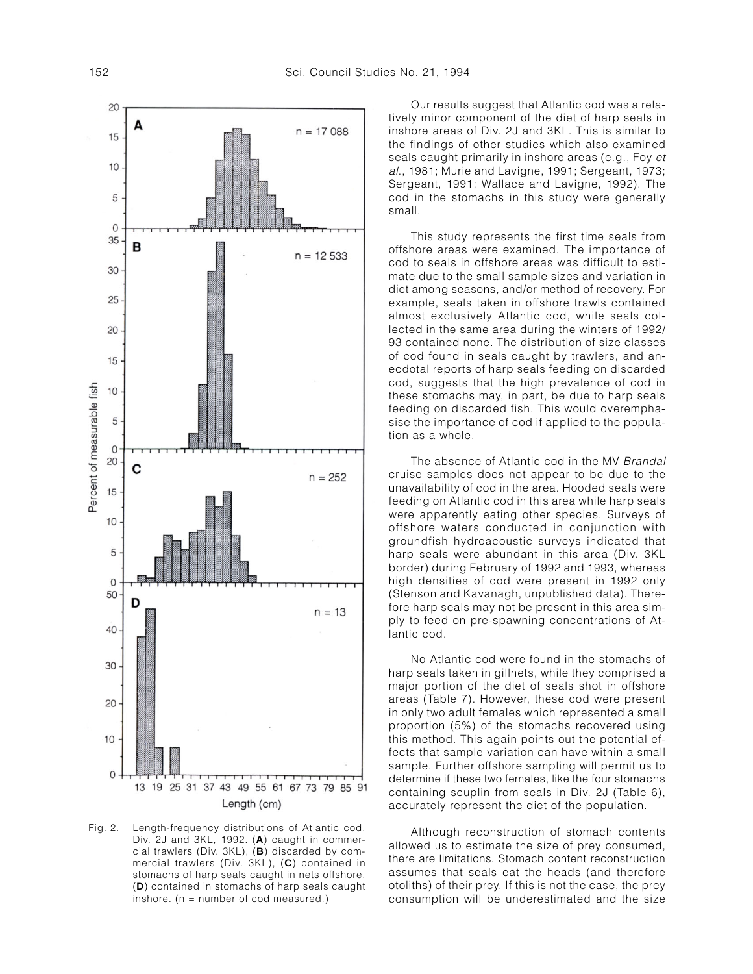

Fig. 2. Length-frequency distributions of Atlantic cod, Div. 2J and 3KL, 1992. (**A**) caught in commercial trawlers (Div. 3KL), (**B**) discarded by commercial trawlers (Div. 3KL), (**C**) contained in stomachs of harp seals caught in nets offshore, (**D**) contained in stomachs of harp seals caught inshore. ( $n =$  number of cod measured.)

Our results suggest that Atlantic cod was a relatively minor component of the diet of harp seals in inshore areas of Div. 2J and 3KL. This is similar to the findings of other studies which also examined seals caught primarily in inshore areas (e.g., Foy et al., 1981; Murie and Lavigne, 1991; Sergeant, 1973; Sergeant, 1991; Wallace and Lavigne, 1992). The cod in the stomachs in this study were generally small.

This study represents the first time seals from offshore areas were examined. The importance of cod to seals in offshore areas was difficult to estimate due to the small sample sizes and variation in diet among seasons, and/or method of recovery. For example, seals taken in offshore trawls contained almost exclusively Atlantic cod, while seals collected in the same area during the winters of 1992/ 93 contained none. The distribution of size classes of cod found in seals caught by trawlers, and anecdotal reports of harp seals feeding on discarded cod, suggests that the high prevalence of cod in these stomachs may, in part, be due to harp seals feeding on discarded fish. This would overemphasise the importance of cod if applied to the population as a whole.

The absence of Atlantic cod in the MV Brandal cruise samples does not appear to be due to the unavailability of cod in the area. Hooded seals were feeding on Atlantic cod in this area while harp seals were apparently eating other species. Surveys of offshore waters conducted in conjunction with groundfish hydroacoustic surveys indicated that harp seals were abundant in this area (Div. 3KL border) during February of 1992 and 1993, whereas high densities of cod were present in 1992 only (Stenson and Kavanagh, unpublished data). Therefore harp seals may not be present in this area simply to feed on pre-spawning concentrations of Atlantic cod.

No Atlantic cod were found in the stomachs of harp seals taken in gillnets, while they comprised a major portion of the diet of seals shot in offshore areas (Table 7). However, these cod were present in only two adult females which represented a small proportion (5%) of the stomachs recovered using this method. This again points out the potential effects that sample variation can have within a small sample. Further offshore sampling will permit us to determine if these two females, like the four stomachs containing scuplin from seals in Div. 2J (Table 6), accurately represent the diet of the population.

Although reconstruction of stomach contents allowed us to estimate the size of prey consumed, there are limitations. Stomach content reconstruction assumes that seals eat the heads (and therefore otoliths) of their prey. If this is not the case, the prey consumption will be underestimated and the size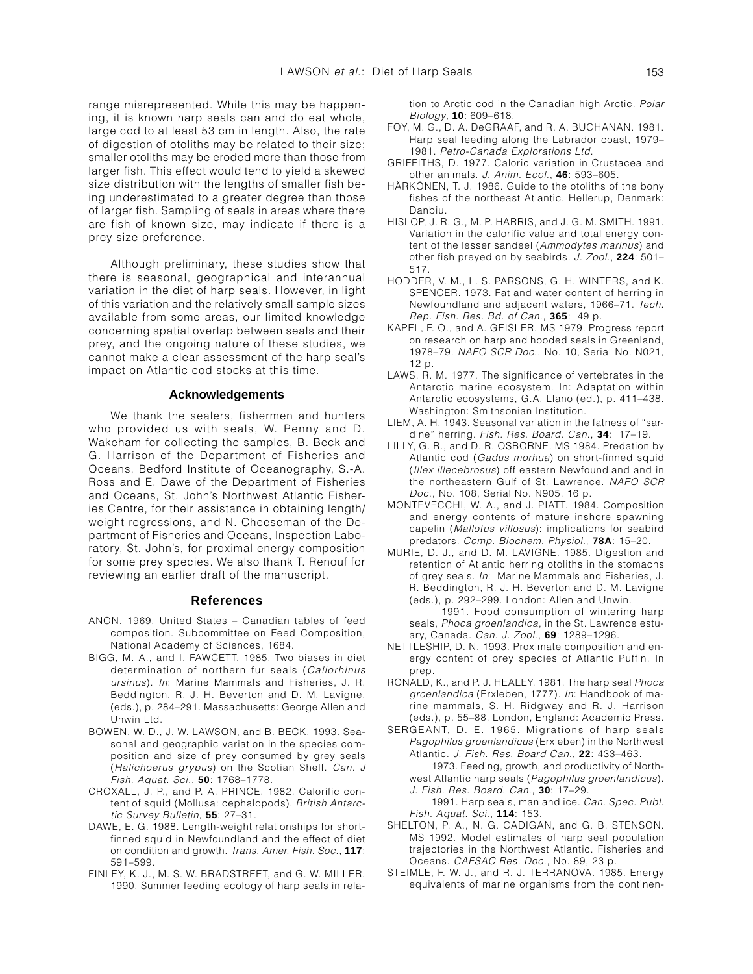range misrepresented. While this may be happening, it is known harp seals can and do eat whole, large cod to at least 53 cm in length. Also, the rate of digestion of otoliths may be related to their size; smaller otoliths may be eroded more than those from larger fish. This effect would tend to yield a skewed size distribution with the lengths of smaller fish being underestimated to a greater degree than those of larger fish. Sampling of seals in areas where there are fish of known size, may indicate if there is a prey size preference.

Although preliminary, these studies show that there is seasonal, geographical and interannual variation in the diet of harp seals. However, in light of this variation and the relatively small sample sizes available from some areas, our limited knowledge concerning spatial overlap between seals and their prey, and the ongoing nature of these studies, we cannot make a clear assessment of the harp seal's impact on Atlantic cod stocks at this time.

### **Acknowledgements**

We thank the sealers, fishermen and hunters who provided us with seals, W. Penny and D. Wakeham for collecting the samples, B. Beck and G. Harrison of the Department of Fisheries and Oceans, Bedford Institute of Oceanography, S.-A. Ross and E. Dawe of the Department of Fisheries and Oceans, St. John's Northwest Atlantic Fisheries Centre, for their assistance in obtaining length/ weight regressions, and N. Cheeseman of the Department of Fisheries and Oceans, Inspection Laboratory, St. John's, for proximal energy composition for some prey species. We also thank T. Renouf for reviewing an earlier draft of the manuscript.

#### **References**

- ANON. 1969. United States Canadian tables of feed composition. Subcommittee on Feed Composition, National Academy of Sciences, 1684.
- BIGG, M. A., and I. FAWCETT. 1985. Two biases in diet determination of northern fur seals (Callorhinus ursinus). In: Marine Mammals and Fisheries, J. R. Beddington, R. J. H. Beverton and D. M. Lavigne, (eds.), p. 284–291. Massachusetts: George Allen and Unwin Ltd.
- BOWEN, W. D., J. W. LAWSON, and B. BECK. 1993. Seasonal and geographic variation in the species composition and size of prey consumed by grey seals (Halichoerus grypus) on the Scotian Shelf. Can. J Fish. Aquat. Sci., **50**: 1768–1778.
- CROXALL, J. P., and P. A. PRINCE. 1982. Calorific content of squid (Mollusa: cephalopods). British Antarctic Survey Bulletin, **55**: 27–31.
- DAWE, E. G. 1988. Length-weight relationships for shortfinned squid in Newfoundland and the effect of diet on condition and growth. Trans. Amer. Fish. Soc., **117**: 591–599.
- FINLEY, K. J., M. S. W. BRADSTREET, and G. W. MILLER. 1990. Summer feeding ecology of harp seals in rela-

tion to Arctic cod in the Canadian high Arctic. Polar Biology, **10**: 609–618.

- FOY, M. G., D. A. DeGRAAF, and R. A. BUCHANAN. 1981. Harp seal feeding along the Labrador coast, 1979– 1981. Petro-Canada Explorations Ltd.
- GRIFFITHS, D. 1977. Caloric variation in Crustacea and other animals. J. Anim. Ecol., **46**: 593–605.
- HÄRKÖNEN, T. J. 1986. Guide to the otoliths of the bony fishes of the northeast Atlantic. Hellerup, Denmark: Danbiu.
- HISLOP, J. R. G., M. P. HARRIS, and J. G. M. SMITH. 1991. Variation in the calorific value and total energy content of the lesser sandeel (Ammodytes marinus) and other fish preyed on by seabirds. J. Zool., **224**: 501– 517.
- HODDER, V. M., L. S. PARSONS, G. H. WINTERS, and K. SPENCER. 1973. Fat and water content of herring in Newfoundland and adjacent waters, 1966–71. Tech. Rep. Fish. Res. Bd. of Can., **365**: 49 p.
- KAPEL, F. O., and A. GEISLER. MS 1979. Progress report on research on harp and hooded seals in Greenland, 1978–79. NAFO SCR Doc., No. 10, Serial No. N021, 12 p.
- LAWS, R. M. 1977. The significance of vertebrates in the Antarctic marine ecosystem. In: Adaptation within Antarctic ecosystems, G.A. Llano (ed.), p. 411–438. Washington: Smithsonian Institution.
- LIEM, A. H. 1943. Seasonal variation in the fatness of "sardine" herring. Fish. Res. Board. Can., **34**: 17–19.
- LILLY, G. R., and D. R. OSBORNE. MS 1984. Predation by Atlantic cod (Gadus morhua) on short-finned squid (Illex illecebrosus) off eastern Newfoundland and in the northeastern Gulf of St. Lawrence. NAFO SCR Doc., No. 108, Serial No. N905, 16 p.
- MONTEVECCHI, W. A., and J. PIATT. 1984. Composition and energy contents of mature inshore spawning capelin (Mallotus villosus): implications for seabird predators. Comp. Biochem. Physiol., **78A**: 15–20.
- MURIE, D. J., and D. M. LAVIGNE. 1985. Digestion and retention of Atlantic herring otoliths in the stomachs of grey seals. In: Marine Mammals and Fisheries, J. R. Beddington, R. J. H. Beverton and D. M. Lavigne (eds.), p. 292–299. London: Allen and Unwin.
	- 1991. Food consumption of wintering harp seals, Phoca groenlandica, in the St. Lawrence estuary, Canada. Can. J. Zool., **69**: 1289–1296.
- NETTLESHIP, D. N. 1993. Proximate composition and energy content of prey species of Atlantic Puffin. In prep.
- RONALD, K., and P. J. HEALEY. 1981. The harp seal Phoca groenlandica (Erxleben, 1777). In: Handbook of marine mammals, S. H. Ridgway and R. J. Harrison (eds.), p. 55–88. London, England: Academic Press.
- SERGEANT, D. E. 1965. Migrations of harp seals Pagophilus groenlandicus (Erxleben) in the Northwest Atlantic. J. Fish. Res. Board Can., **22**: 433–463.
	- 1973. Feeding, growth, and productivity of Northwest Atlantic harp seals (Pagophilus groenlandicus). J. Fish. Res. Board. Can., **30**: 17–29.
	- 1991. Harp seals, man and ice. Can. Spec. Publ. Fish. Aquat. Sci., **114**: 153.
- SHELTON, P. A., N. G. CADIGAN, and G. B. STENSON. MS 1992. Model estimates of harp seal population trajectories in the Northwest Atlantic. Fisheries and Oceans. CAFSAC Res. Doc., No. 89, 23 p.
- STEIMLE, F. W. J., and R. J. TERRANOVA. 1985. Energy equivalents of marine organisms from the continen-